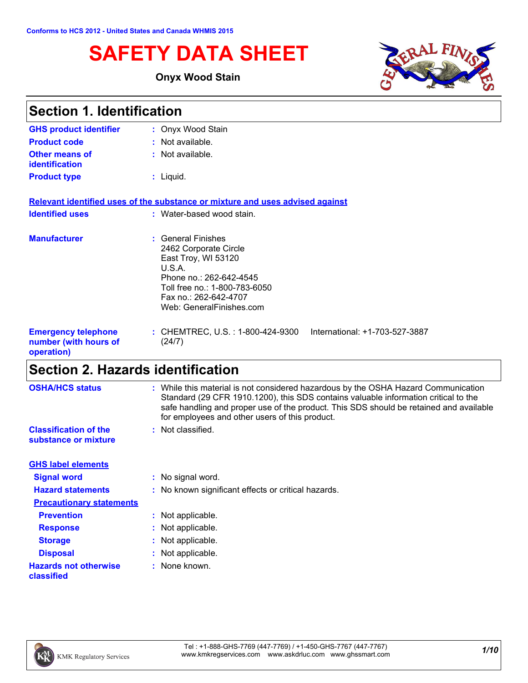# **SAFETY DATA SHEET**

### **Onyx Wood Stain**



| <b>Section 1. Identification</b>                                  |                                                                                                                                                                                               |  |
|-------------------------------------------------------------------|-----------------------------------------------------------------------------------------------------------------------------------------------------------------------------------------------|--|
| <b>GHS product identifier</b>                                     | : Onyx Wood Stain                                                                                                                                                                             |  |
| <b>Product code</b>                                               | $:$ Not available.                                                                                                                                                                            |  |
| <b>Other means of</b><br><i>identification</i>                    | : Not available.                                                                                                                                                                              |  |
| <b>Product type</b>                                               | $:$ Liquid.                                                                                                                                                                                   |  |
|                                                                   | Relevant identified uses of the substance or mixture and uses advised against                                                                                                                 |  |
| <b>Identified uses</b>                                            | : Water-based wood stain.                                                                                                                                                                     |  |
| <b>Manufacturer</b>                                               | : General Finishes<br>2462 Corporate Circle<br>East Troy, WI 53120<br>U.S.A.<br>Phone no.: 262-642-4545<br>Toll free no.: 1-800-783-6050<br>Fax no.: 262-642-4707<br>Web: GeneralFinishes.com |  |
| <b>Emergency telephone</b><br>number (with hours of<br>operation) | International: +1-703-527-3887<br>: CHEMTREC, U.S. : 1-800-424-9300<br>(24/7)                                                                                                                 |  |

# **Section 2. Hazards identification**

| <b>OSHA/HCS status</b>                               | : While this material is not considered hazardous by the OSHA Hazard Communication<br>Standard (29 CFR 1910.1200), this SDS contains valuable information critical to the<br>safe handling and proper use of the product. This SDS should be retained and available<br>for employees and other users of this product. |
|------------------------------------------------------|-----------------------------------------------------------------------------------------------------------------------------------------------------------------------------------------------------------------------------------------------------------------------------------------------------------------------|
| <b>Classification of the</b><br>substance or mixture | : Not classified.                                                                                                                                                                                                                                                                                                     |
| <b>GHS label elements</b>                            |                                                                                                                                                                                                                                                                                                                       |
| <b>Signal word</b>                                   | : No signal word.                                                                                                                                                                                                                                                                                                     |
| <b>Hazard statements</b>                             | : No known significant effects or critical hazards.                                                                                                                                                                                                                                                                   |
| <b>Precautionary statements</b>                      |                                                                                                                                                                                                                                                                                                                       |
| <b>Prevention</b>                                    | : Not applicable.                                                                                                                                                                                                                                                                                                     |
| <b>Response</b>                                      | : Not applicable.                                                                                                                                                                                                                                                                                                     |
| <b>Storage</b>                                       | : Not applicable.                                                                                                                                                                                                                                                                                                     |
| <b>Disposal</b>                                      | : Not applicable.                                                                                                                                                                                                                                                                                                     |
| <b>Hazards not otherwise</b><br>classified           | : None known.                                                                                                                                                                                                                                                                                                         |

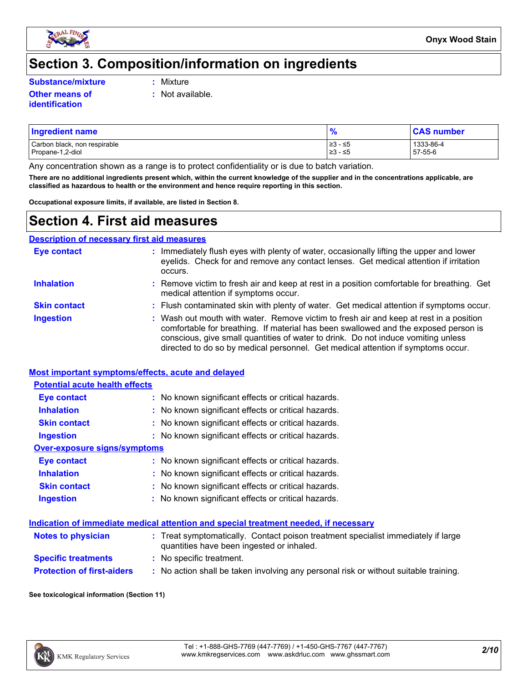

### **Section 3. Composition/information on ingredients**

**Substance/mixture :**

**identification**

Mixture

**:** Not available.

**Other means of** 

| <b>Ingredient name</b>       |          | <b>CAS number</b> |
|------------------------------|----------|-------------------|
| Carbon black, non respirable | ≥3 - ≤5  | 1333-86-4         |
| Propane-1,2-diol             | 1≥3 - ≤5 | 57-55-6           |

Any concentration shown as a range is to protect confidentiality or is due to batch variation.

**There are no additional ingredients present which, within the current knowledge of the supplier and in the concentrations applicable, are classified as hazardous to health or the environment and hence require reporting in this section.**

**Occupational exposure limits, if available, are listed in Section 8.**

### **Section 4. First aid measures**

| <b>Description of necessary first aid measures</b> |                                                                                                                                                                                                                                                                                                                                                        |  |
|----------------------------------------------------|--------------------------------------------------------------------------------------------------------------------------------------------------------------------------------------------------------------------------------------------------------------------------------------------------------------------------------------------------------|--|
| <b>Eye contact</b>                                 | Immediately flush eyes with plenty of water, occasionally lifting the upper and lower<br>eyelids. Check for and remove any contact lenses. Get medical attention if irritation<br>occurs.                                                                                                                                                              |  |
| <b>Inhalation</b>                                  | : Remove victim to fresh air and keep at rest in a position comfortable for breathing. Get<br>medical attention if symptoms occur.                                                                                                                                                                                                                     |  |
| <b>Skin contact</b>                                | : Flush contaminated skin with plenty of water. Get medical attention if symptoms occur.                                                                                                                                                                                                                                                               |  |
| <b>Ingestion</b>                                   | : Wash out mouth with water. Remove victim to fresh air and keep at rest in a position<br>comfortable for breathing. If material has been swallowed and the exposed person is<br>conscious, give small quantities of water to drink. Do not induce vomiting unless<br>directed to do so by medical personnel. Get medical attention if symptoms occur. |  |

#### **Most important symptoms/effects, acute and delayed**

#### **Potential acute health effects**

| <b>Eye contact</b>           | : No known significant effects or critical hazards. |
|------------------------------|-----------------------------------------------------|
| <b>Inhalation</b>            | : No known significant effects or critical hazards. |
| <b>Skin contact</b>          | : No known significant effects or critical hazards. |
| <b>Ingestion</b>             | : No known significant effects or critical hazards. |
| Over-exposure signs/symptoms |                                                     |
| <b>Eye contact</b>           | : No known significant effects or critical hazards. |
| <b>Inhalation</b>            | : No known significant effects or critical hazards. |
| <b>Skin contact</b>          | : No known significant effects or critical hazards. |
| <b>Ingestion</b>             | : No known significant effects or critical hazards. |

|                           | Indication of immediate medical attention and special treatment needed, if necessary |  |
|---------------------------|--------------------------------------------------------------------------------------|--|
| <b>Notes to physician</b> | : Treat symptomatically. Contact poison treatment specialist immediately if large    |  |

| <b>INULES IU DIIVSILIAII</b>      | . Treat symptomalically. Contact poison treatment specialist immediately in large<br>quantities have been ingested or inhaled. |
|-----------------------------------|--------------------------------------------------------------------------------------------------------------------------------|
| <b>Specific treatments</b>        | : No specific treatment.                                                                                                       |
| <b>Protection of first-aiders</b> | : No action shall be taken involving any personal risk or without suitable training.                                           |

**See toxicological information (Section 11)**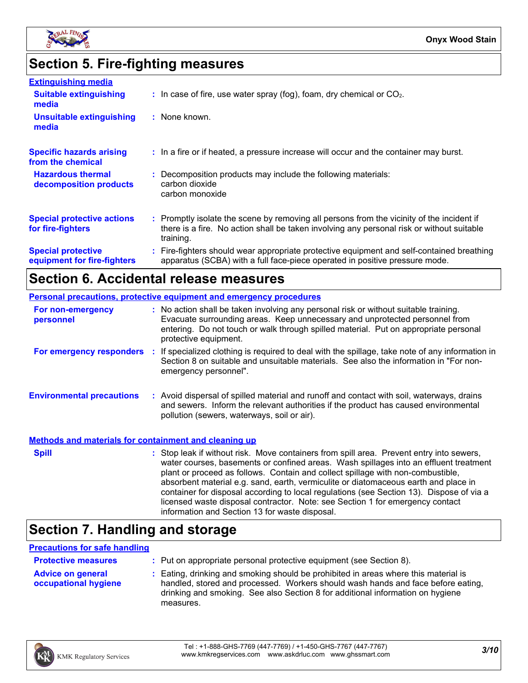

# **Section 5. Fire-fighting measures**

| <b>Extinguishing media</b>                               |                                                                                                                                                                                                     |
|----------------------------------------------------------|-----------------------------------------------------------------------------------------------------------------------------------------------------------------------------------------------------|
| <b>Suitable extinguishing</b><br>media                   | $\therefore$ In case of fire, use water spray (fog), foam, dry chemical or CO <sub>2</sub> .                                                                                                        |
| <b>Unsuitable extinguishing</b><br>media                 | : None known.                                                                                                                                                                                       |
| <b>Specific hazards arising</b><br>from the chemical     | : In a fire or if heated, a pressure increase will occur and the container may burst.                                                                                                               |
| <b>Hazardous thermal</b><br>decomposition products       | : Decomposition products may include the following materials:<br>carbon dioxide<br>carbon monoxide                                                                                                  |
| <b>Special protective actions</b><br>for fire-fighters   | : Promptly isolate the scene by removing all persons from the vicinity of the incident if<br>there is a fire. No action shall be taken involving any personal risk or without suitable<br>training. |
| <b>Special protective</b><br>equipment for fire-fighters | : Fire-fighters should wear appropriate protective equipment and self-contained breathing<br>apparatus (SCBA) with a full face-piece operated in positive pressure mode.                            |

### **Section 6. Accidental release measures**

| <b>Personal precautions, protective equipment and emergency procedures</b> |  |                                                                                                                                                                                                                                                                                                                                                                                                                                                                                                                                                                                            |  |
|----------------------------------------------------------------------------|--|--------------------------------------------------------------------------------------------------------------------------------------------------------------------------------------------------------------------------------------------------------------------------------------------------------------------------------------------------------------------------------------------------------------------------------------------------------------------------------------------------------------------------------------------------------------------------------------------|--|
| For non-emergency<br>personnel                                             |  | : No action shall be taken involving any personal risk or without suitable training.<br>Evacuate surrounding areas. Keep unnecessary and unprotected personnel from<br>entering. Do not touch or walk through spilled material. Put on appropriate personal<br>protective equipment.                                                                                                                                                                                                                                                                                                       |  |
|                                                                            |  | For emergency responders : If specialized clothing is required to deal with the spillage, take note of any information in<br>Section 8 on suitable and unsuitable materials. See also the information in "For non-<br>emergency personnel".                                                                                                                                                                                                                                                                                                                                                |  |
| <b>Environmental precautions</b>                                           |  | : Avoid dispersal of spilled material and runoff and contact with soil, waterways, drains<br>and sewers. Inform the relevant authorities if the product has caused environmental<br>pollution (sewers, waterways, soil or air).                                                                                                                                                                                                                                                                                                                                                            |  |
| <b>Methods and materials for containment and cleaning up</b>               |  |                                                                                                                                                                                                                                                                                                                                                                                                                                                                                                                                                                                            |  |
| <b>Spill</b>                                                               |  | : Stop leak if without risk. Move containers from spill area. Prevent entry into sewers,<br>water courses, basements or confined areas. Wash spillages into an effluent treatment<br>plant or proceed as follows. Contain and collect spillage with non-combustible,<br>absorbent material e.g. sand, earth, vermiculite or diatomaceous earth and place in<br>container for disposal according to local regulations (see Section 13). Dispose of via a<br>licensed waste disposal contractor. Note: see Section 1 for emergency contact<br>information and Section 13 for waste disposal. |  |

# **Section 7. Handling and storage**

#### **Precautions for safe handling**

| <b>Protective measures</b>                       | : Put on appropriate personal protective equipment (see Section 8).                                                                                                                                                                                                    |
|--------------------------------------------------|------------------------------------------------------------------------------------------------------------------------------------------------------------------------------------------------------------------------------------------------------------------------|
| <b>Advice on general</b><br>occupational hygiene | : Eating, drinking and smoking should be prohibited in areas where this material is<br>handled, stored and processed. Workers should wash hands and face before eating,<br>drinking and smoking. See also Section 8 for additional information on hygiene<br>measures. |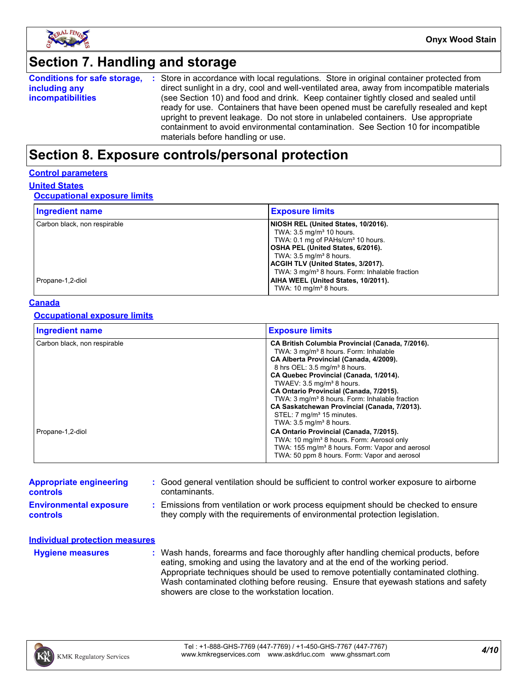

# **Section 7. Handling and storage**

|                          | <b>Conditions for safe storage, :</b> Store in accordance with local regulations. Store in original container protected from |
|--------------------------|------------------------------------------------------------------------------------------------------------------------------|
| including any            | direct sunlight in a dry, cool and well-ventilated area, away from incompatible materials                                    |
| <i>incompatibilities</i> | (see Section 10) and food and drink. Keep container tightly closed and sealed until                                          |
|                          | ready for use. Containers that have been opened must be carefully resealed and kept                                          |
|                          | upright to prevent leakage. Do not store in unlabeled containers. Use appropriate                                            |
|                          | containment to avoid environmental contamination. See Section 10 for incompatible                                            |
|                          | materials before handling or use.                                                                                            |

### **Section 8. Exposure controls/personal protection**

#### **Control parameters**

#### **United States**

#### **Occupational exposure limits**

| <b>Ingredient name</b>       | <b>Exposure limits</b>                                     |
|------------------------------|------------------------------------------------------------|
| Carbon black, non respirable | NIOSH REL (United States, 10/2016).                        |
|                              | TWA: $3.5 \text{ mg/m}^3$ 10 hours.                        |
|                              | TWA: 0.1 mg of PAHs/cm <sup>3</sup> 10 hours.              |
|                              | OSHA PEL (United States, 6/2016).                          |
|                              | TWA: $3.5 \text{ mg/m}^3$ 8 hours.                         |
|                              | <b>ACGIH TLV (United States, 3/2017).</b>                  |
|                              | TWA: 3 mg/m <sup>3</sup> 8 hours. Form: Inhalable fraction |
| Propane-1,2-diol             | AIHA WEEL (United States, 10/2011).                        |
|                              | TWA: 10 mg/m <sup>3</sup> 8 hours.                         |

#### **Canada**

#### **Occupational exposure limits**

| <b>Ingredient name</b>       | <b>Exposure limits</b>                                                                                                                                                                                                                                                                                                                   |
|------------------------------|------------------------------------------------------------------------------------------------------------------------------------------------------------------------------------------------------------------------------------------------------------------------------------------------------------------------------------------|
| Carbon black, non respirable | CA British Columbia Provincial (Canada, 7/2016).<br>TWA: 3 mg/m <sup>3</sup> 8 hours. Form: Inhalable<br>CA Alberta Provincial (Canada, 4/2009).<br>8 hrs OEL: 3.5 mg/m <sup>3</sup> 8 hours.<br>CA Quebec Provincial (Canada, 1/2014).<br>TWAEV: $3.5 \text{ mg/m}^3$ 8 hours.                                                          |
| Propane-1,2-diol             | CA Ontario Provincial (Canada, 7/2015).<br>TWA: 3 mg/m <sup>3</sup> 8 hours. Form: Inhalable fraction<br>CA Saskatchewan Provincial (Canada, 7/2013).<br>STEL: 7 mg/m <sup>3</sup> 15 minutes.<br>TWA: $3.5 \text{ mg/m}^3$ 8 hours.<br>CA Ontario Provincial (Canada, 7/2015).<br>TWA: 10 mg/m <sup>3</sup> 8 hours. Form: Aerosol only |
|                              | TWA: 155 mg/m <sup>3</sup> 8 hours. Form: Vapor and aerosol<br>TWA: 50 ppm 8 hours. Form: Vapor and aerosol                                                                                                                                                                                                                              |

| <b>Appropriate engineering</b><br><b>controls</b> | : Good general ventilation should be sufficient to control worker exposure to airborne<br>contaminants.                                                          |
|---------------------------------------------------|------------------------------------------------------------------------------------------------------------------------------------------------------------------|
| <b>Environmental exposure</b><br><b>controls</b>  | : Emissions from ventilation or work process equipment should be checked to ensure<br>they comply with the requirements of environmental protection legislation. |
| <b>Individual protection measures</b>             |                                                                                                                                                                  |

**Hygiene measures :**

Wash hands, forearms and face thoroughly after handling chemical products, before eating, smoking and using the lavatory and at the end of the working period. Appropriate techniques should be used to remove potentially contaminated clothing. Wash contaminated clothing before reusing. Ensure that eyewash stations and safety showers are close to the workstation location.

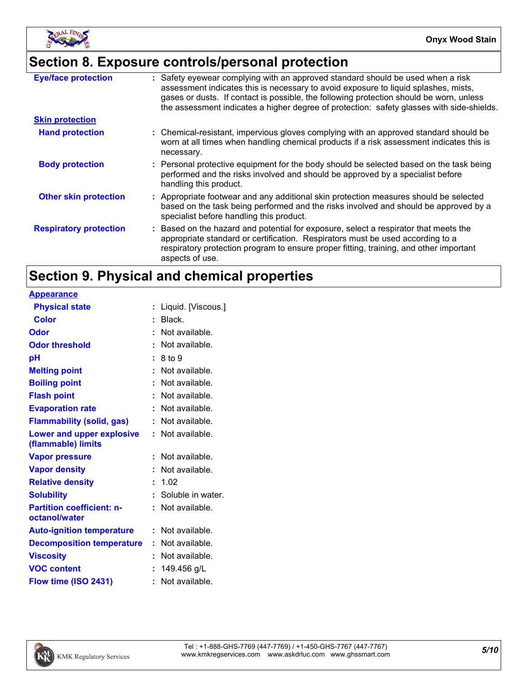

# **Section 8. Exposure controls/personal protection**

| <b>Eye/face protection</b>    | : Safety eyewear complying with an approved standard should be used when a risk<br>assessment indicates this is necessary to avoid exposure to liquid splashes, mists,<br>gases or dusts. If contact is possible, the following protection should be worn, unless<br>the assessment indicates a higher degree of protection: safety glasses with side-shields. |
|-------------------------------|----------------------------------------------------------------------------------------------------------------------------------------------------------------------------------------------------------------------------------------------------------------------------------------------------------------------------------------------------------------|
| <b>Skin protection</b>        |                                                                                                                                                                                                                                                                                                                                                                |
| <b>Hand protection</b>        | : Chemical-resistant, impervious gloves complying with an approved standard should be<br>worn at all times when handling chemical products if a risk assessment indicates this is<br>necessary.                                                                                                                                                                |
| <b>Body protection</b>        | : Personal protective equipment for the body should be selected based on the task being<br>performed and the risks involved and should be approved by a specialist before<br>handling this product.                                                                                                                                                            |
| <b>Other skin protection</b>  | : Appropriate footwear and any additional skin protection measures should be selected<br>based on the task being performed and the risks involved and should be approved by a<br>specialist before handling this product.                                                                                                                                      |
| <b>Respiratory protection</b> | : Based on the hazard and potential for exposure, select a respirator that meets the<br>appropriate standard or certification. Respirators must be used according to a<br>respiratory protection program to ensure proper fitting, training, and other important<br>aspects of use.                                                                            |

# **Section 9. Physical and chemical properties**

| <u>Appearance</u>                                 |                    |  |
|---------------------------------------------------|--------------------|--|
| <b>Physical state</b>                             | Liquid. [Viscous.] |  |
| <b>Color</b>                                      | $:$ Black.         |  |
| Odor                                              | $:$ Not available. |  |
| <b>Odor threshold</b>                             | $:$ Not available. |  |
| рH                                                | : 8 to 9           |  |
| <b>Melting point</b>                              | Not available.     |  |
| <b>Boiling point</b>                              | Not available.     |  |
| <b>Flash point</b>                                | $:$ Not available. |  |
| <b>Evaporation rate</b>                           | Not available.     |  |
| <b>Flammability (solid, gas)</b>                  | Not available.     |  |
| Lower and upper explosive                         | $:$ Not available. |  |
| (flammable) limits                                |                    |  |
| <b>Vapor pressure</b>                             | Not available.     |  |
| <b>Vapor density</b>                              | Not available.     |  |
| <b>Relative density</b>                           | 1.02               |  |
| <b>Solubility</b>                                 | Soluble in water.  |  |
| <b>Partition coefficient: n-</b><br>octanol/water | $:$ Not available. |  |
| <b>Auto-ignition temperature</b>                  | $:$ Not available. |  |
| <b>Decomposition temperature</b>                  | Not available.     |  |
| <b>Viscosity</b>                                  | Not available.     |  |
| <b>VOC content</b>                                | 149.456 g/L        |  |
| Flow time (ISO 2431)                              | Not available.     |  |
|                                                   |                    |  |

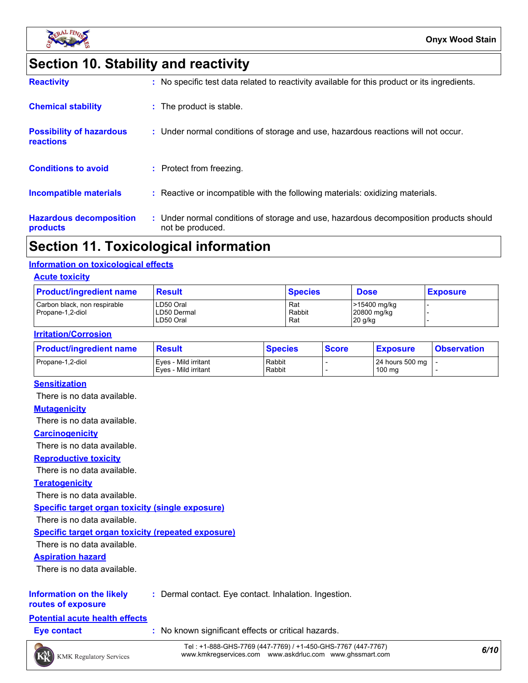

# **Section 10. Stability and reactivity**

| <b>Reactivity</b>                            | : No specific test data related to reactivity available for this product or its ingredients.              |
|----------------------------------------------|-----------------------------------------------------------------------------------------------------------|
| <b>Chemical stability</b>                    | : The product is stable.                                                                                  |
| <b>Possibility of hazardous</b><br>reactions | : Under normal conditions of storage and use, hazardous reactions will not occur.                         |
| <b>Conditions to avoid</b>                   | : Protect from freezing.                                                                                  |
| Incompatible materials                       | : Reactive or incompatible with the following materials: oxidizing materials.                             |
| <b>Hazardous decomposition</b><br>products   | : Under normal conditions of storage and use, hazardous decomposition products should<br>not be produced. |

### **Section 11. Toxicological information**

#### **Information on toxicological effects**

#### **Acute toxicity**

| <b>Product/ingredient name</b>                   | <b>Result</b>                         | <b>Species</b>       | <b>Dose</b>                            | <b>Exposure</b> |
|--------------------------------------------------|---------------------------------------|----------------------|----------------------------------------|-----------------|
| Carbon black, non respirable<br>Propane-1.2-diol | LD50 Oral<br>LD50 Dermal<br>LD50 Oral | Rat<br>Rabbit<br>Rat | >15400 mg/kg<br>20800 mg/kg<br>20 g/kg |                 |

#### **Irritation/Corrosion**

| <b>Product/ingredient name</b> | <b>Result</b>                                | <b>Species</b>   | <b>Score</b> | <b>Exposure</b>                         | <b>Observation</b> |
|--------------------------------|----------------------------------------------|------------------|--------------|-----------------------------------------|--------------------|
| Propane-1.2-diol               | Eyes - Mild irritant<br>Eves - Mild irritant | Rabbit<br>Rabbit |              | 24 hours 500 mg   -<br>$100 \text{ mg}$ |                    |

#### **Sensitization**

There is no data available.

#### **Mutagenicity**

There is no data available.

#### **Carcinogenicity**

There is no data available.

#### **Reproductive toxicity**

There is no data available.

#### **Teratogenicity**

There is no data available.

#### **Specific target organ toxicity (single exposure)**

There is no data available.

#### **Specific target organ toxicity (repeated exposure)**

There is no data available.

#### **Aspiration hazard**

There is no data available.

#### **Information on the likely :** Dermal contact. Eye contact. Inhalation. Ingestion.

**routes of exposure**

#### **Potential acute health effects**

**Eye contact :** No known significant effects or critical hazards.

*6/10* Tel : +1-888-GHS-7769 (447-7769) / +1-450-GHS-7767 (447-7767) www.kmkregservices.com www.askdrluc.com www.ghssmart.com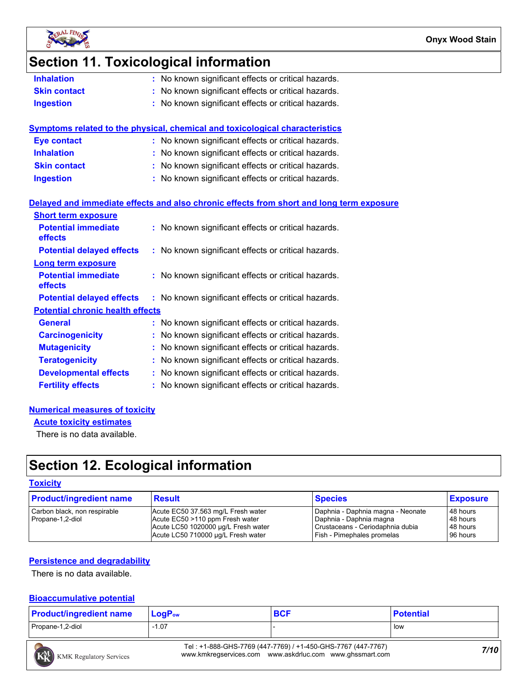

### **Section 11. Toxicological information**

| No known significant effects or critical hazards.<br><b>Inhalation</b> |  |
|------------------------------------------------------------------------|--|
|------------------------------------------------------------------------|--|

- **Skin contact :** No known significant effects or critical hazards.
- **Ingestion :** No known significant effects or critical hazards.

| Symptoms related to the physical, chemical and toxicological characteristics |                                                     |  |  |  |  |
|------------------------------------------------------------------------------|-----------------------------------------------------|--|--|--|--|
| <b>Eye contact</b>                                                           | : No known significant effects or critical hazards. |  |  |  |  |
| <b>Inhalation</b>                                                            | : No known significant effects or critical hazards. |  |  |  |  |
| <b>Skin contact</b>                                                          | : No known significant effects or critical hazards. |  |  |  |  |
| <b>Ingestion</b>                                                             | : No known significant effects or critical hazards. |  |  |  |  |

#### **Delayed and immediate effects and also chronic effects from short and long term exposure**

| <b>Short term exposure</b>                   |                                                     |
|----------------------------------------------|-----------------------------------------------------|
| <b>Potential immediate</b><br><b>effects</b> | : No known significant effects or critical hazards. |
| <b>Potential delayed effects</b>             | : No known significant effects or critical hazards. |
| <b>Long term exposure</b>                    |                                                     |
| <b>Potential immediate</b><br><b>effects</b> | : No known significant effects or critical hazards. |
| <b>Potential delayed effects</b>             | : No known significant effects or critical hazards. |
| <b>Potential chronic health effects</b>      |                                                     |
| <b>General</b>                               | : No known significant effects or critical hazards. |
| <b>Carcinogenicity</b>                       | : No known significant effects or critical hazards. |
| <b>Mutagenicity</b>                          | : No known significant effects or critical hazards. |
| <b>Teratogenicity</b>                        | : No known significant effects or critical hazards. |
| <b>Developmental effects</b>                 | : No known significant effects or critical hazards. |
| <b>Fertility effects</b>                     | : No known significant effects or critical hazards. |

#### **Numerical measures of toxicity**

**Acute toxicity estimates**

There is no data available.

## **Section 12. Ecological information**

#### **Toxicity**

| <b>Product/ingredient name</b>                   | <b>Result</b>                                                                                                                                      | <b>Species</b>                                                                                                                 | <b>Exposure</b>                              |
|--------------------------------------------------|----------------------------------------------------------------------------------------------------------------------------------------------------|--------------------------------------------------------------------------------------------------------------------------------|----------------------------------------------|
| Carbon black, non respirable<br>Propane-1,2-diol | Acute EC50 37.563 mg/L Fresh water<br>Acute EC50 >110 ppm Fresh water<br>Acute LC50 1020000 µg/L Fresh water<br>Acute LC50 710000 ug/L Fresh water | Daphnia - Daphnia magna - Neonate<br>Daphnia - Daphnia magna<br>Crustaceans - Ceriodaphnia dubia<br>Fish - Pimephales promelas | 48 hours<br>48 hours<br>48 hours<br>96 hours |

#### **Persistence and degradability**

There is no data available.

#### **Bioaccumulative potential**

| <b>Product/ingredient name</b> | $\mathsf{LocP}_\mathsf{ow}$ | <b>BCF</b> | <b>Potential</b> |
|--------------------------------|-----------------------------|------------|------------------|
| Propane-1,2-diol               | $-1.07$                     |            | l low            |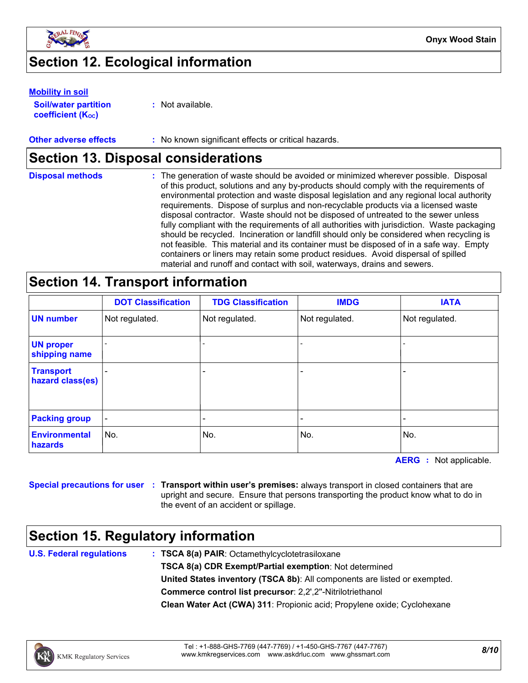

## **Section 12. Ecological information**

#### **Mobility in soil**

**Soil/water partition coefficient (KOC)**

**:** Not available.

#### **Other adverse effects** : No known significant effects or critical hazards.

### **Section 13. Disposal considerations**

| <b>Disposal methods</b> | : The generation of waste should be avoided or minimized wherever possible. Disposal<br>of this product, solutions and any by-products should comply with the requirements of<br>environmental protection and waste disposal legislation and any regional local authority<br>requirements. Dispose of surplus and non-recyclable products via a licensed waste<br>disposal contractor. Waste should not be disposed of untreated to the sewer unless<br>fully compliant with the requirements of all authorities with jurisdiction. Waste packaging<br>should be recycled. Incineration or landfill should only be considered when recycling is<br>not feasible. This material and its container must be disposed of in a safe way. Empty<br>containers or liners may retain some product residues. Avoid dispersal of spilled |
|-------------------------|--------------------------------------------------------------------------------------------------------------------------------------------------------------------------------------------------------------------------------------------------------------------------------------------------------------------------------------------------------------------------------------------------------------------------------------------------------------------------------------------------------------------------------------------------------------------------------------------------------------------------------------------------------------------------------------------------------------------------------------------------------------------------------------------------------------------------------|
|                         | material and runoff and contact with soil, waterways, drains and sewers.                                                                                                                                                                                                                                                                                                                                                                                                                                                                                                                                                                                                                                                                                                                                                       |

### **Section 14. Transport information**

|                                      | <b>DOT Classification</b> | <b>TDG Classification</b> | <b>IMDG</b>    | <b>IATA</b>    |
|--------------------------------------|---------------------------|---------------------------|----------------|----------------|
| <b>UN number</b>                     | Not regulated.            | Not regulated.            | Not regulated. | Not regulated. |
| <b>UN proper</b><br>shipping name    |                           |                           |                |                |
| <b>Transport</b><br>hazard class(es) |                           | -                         |                |                |
| <b>Packing group</b>                 | $\overline{\phantom{a}}$  |                           |                |                |
| <b>Environmental</b><br>hazards      | No.                       | No.                       | No.            | No.            |

**AERG :** Not applicable.

**Special precautions for user Transport within user's premises:** always transport in closed containers that are **:** upright and secure. Ensure that persons transporting the product know what to do in the event of an accident or spillage.

### **Section 15. Regulatory information**

**U.S. Federal regulations**

**Clean Water Act (CWA) 311**: Propionic acid; Propylene oxide; Cyclohexane **: TSCA 8(a) PAIR**: Octamethylcyclotetrasiloxane **TSCA 8(a) CDR Exempt/Partial exemption**: Not determined **Commerce control list precursor**: 2,2',2''-Nitrilotriethanol **United States inventory (TSCA 8b)**: All components are listed or exempted.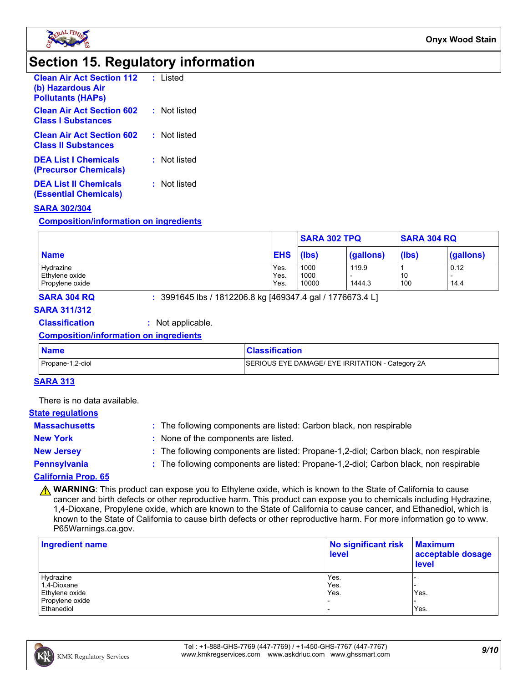

### **Section 15. Regulatory information**

| <b>Clean Air Act Section 112</b><br>(b) Hazardous Air<br><b>Pollutants (HAPS)</b> | : Listed     |
|-----------------------------------------------------------------------------------|--------------|
| <b>Clean Air Act Section 602</b><br><b>Class   Substances</b>                     | : Not listed |
| <b>Clean Air Act Section 602</b><br><b>Class II Substances</b>                    | : Not listed |
| <b>DEA List   Chemicals</b><br>(Precursor Chemicals)                              | : Not listed |
| <b>DEA List II Chemicals</b><br>(Essential Chemicals)                             | : Not listed |

#### **SARA 302/304**

**Composition/information on ingredients**

|                 |            | <b>SARA 302 TPQ</b> | <b>SARA 304 RQ</b> |       |                          |
|-----------------|------------|---------------------|--------------------|-------|--------------------------|
| <b>Name</b>     | <b>EHS</b> | (lbs)               | (gallons)          | (lbs) | (gallons)                |
| Hydrazine       | Yes.       | 1000                | 119.9              |       | 0.12                     |
| Ethylene oxide  | Yes.       | 1000                |                    | 10    | $\overline{\phantom{0}}$ |
| Propylene oxide | Yes.       | 10000               | 1444.3             | 100   | 14.4                     |

**SARA 304 RQ :** 3991645 lbs / 1812206.8 kg [469347.4 gal / 1776673.4 L]

### **SARA 311/312**

#### **Classification :** Not applicable.

#### **Composition/information on ingredients**

| <b>Name</b>      | <b>Classification</b>                            |
|------------------|--------------------------------------------------|
| Propane-1,2-diol | SERIOUS EYE DAMAGE/ EYE IRRITATION - Category 2A |

#### **SARA 313**

There is no data available.

#### **State regulations**

| <b>Massachusetts</b> | : The following components are listed: Carbon black, non respirable                   |
|----------------------|---------------------------------------------------------------------------------------|
| <b>New York</b>      | None of the components are listed.                                                    |
| <b>New Jersey</b>    | : The following components are listed: Propane-1,2-diol; Carbon black, non respirable |
| Pennsylvania         | : The following components are listed: Propane-1,2-diol; Carbon black, non respirable |
| California Duais, CE |                                                                                       |

#### **California Prop. 65**

**A WARNING**: This product can expose you to Ethylene oxide, which is known to the State of California to cause cancer and birth defects or other reproductive harm. This product can expose you to chemicals including Hydrazine, 1,4-Dioxane, Propylene oxide, which are known to the State of California to cause cancer, and Ethanediol, which is known to the State of California to cause birth defects or other reproductive harm. For more information go to www. P65Warnings.ca.gov.

| <b>Ingredient name</b> | No significant risk<br><b>level</b> | <b>Maximum</b><br>acceptable dosage<br>level |  |
|------------------------|-------------------------------------|----------------------------------------------|--|
| Hydrazine              | Yes.                                |                                              |  |
| 1,4-Dioxane            | Yes.                                |                                              |  |
| Ethylene oxide         | Yes.                                | Yes.                                         |  |
| Propylene oxide        |                                     |                                              |  |
| Ethanediol             |                                     | Yes.                                         |  |